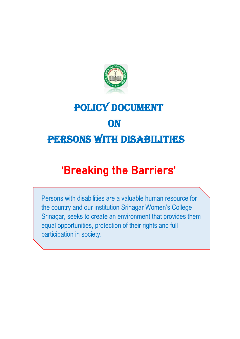

## POLICY DOCUMENT **ON** PERSONS WITH DISABILITIES

## 'Breaking the Barriers'

Persons with disabilities are a valuable human resource for the country and our institution Srinagar Women's College Srinagar, seeks to create an environment that provides them equal opportunities, protection of their rights and full participation in society.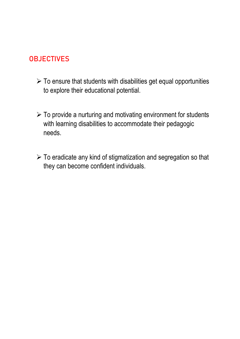## **OBJECTIVES**

- $\triangleright$  To ensure that students with disabilities get equal opportunities to explore their educational potential.
- $\triangleright$  To provide a nurturing and motivating environment for students with learning disabilities to accommodate their pedagogic needs.
- ➢ To eradicate any kind of stigmatization and segregation so that they can become confident individuals.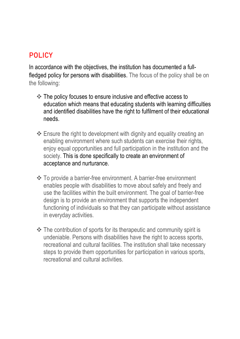## **POLICY**

In accordance with the objectives, the institution has documented a fullfledged policy for persons with disabilities. The focus of the policy shall be on the following:

- ❖ The policy focuses to ensure inclusive and effective access to education which means that educating students with learning difficulties and identified disabilities have the right to fulfilment of their educational needs.
- ❖ Ensure the right to development with dignity and equality creating an enabling environment where such students can exercise their rights, enjoy equal opportunities and full participation in the institution and the society. This is done specifically to create an environment of acceptance and nurturance.
- ❖ To provide a barrier-free environment. A barrier-free environment enables people with disabilities to move about safely and freely and use the facilities within the built environment. The goal of barrier-free design is to provide an environment that supports the independent functioning of individuals so that they can participate without assistance in everyday activities.
- ❖ The contribution of sports for its therapeutic and community spirit is undeniable. Persons with disabilities have the right to access sports, recreational and cultural facilities. The institution shall take necessary steps to provide them opportunities for participation in various sports, recreational and cultural activities.